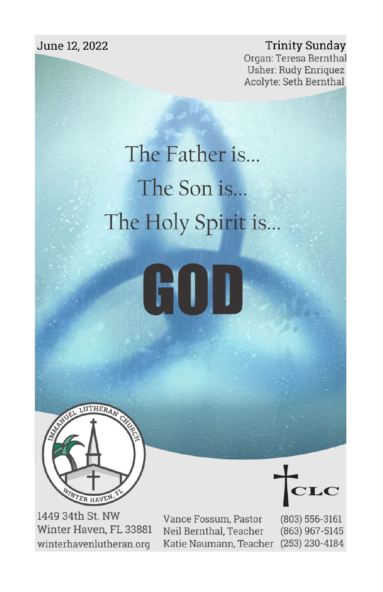June 12, 2022

**Trinity Sunday** Organ: Teresa Bernthal **Usher: Rudy Enriquez** Acolyte: Seth Bernthal

# The Father is... The Son is... The Holy Spirit is...





1449 34th St. NW Winter Haven, FL 33881 winterhavenlutheran.org

Vance Fossum, Pastor Neil Bernthal, Teacher Katie Naumann, Teacher

 $(803) 556 - 3161$ (863) 967-5145  $(253)$  230-4184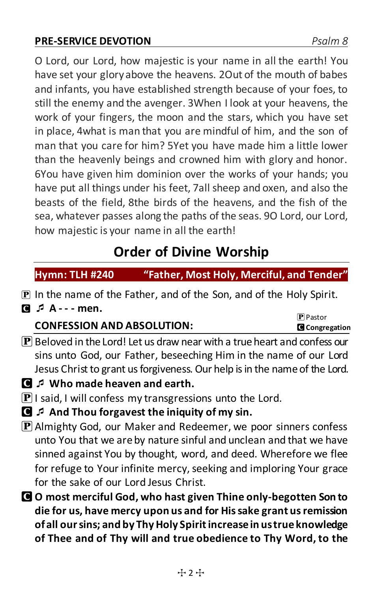#### **PRE-SERVICE DEVOTION** *Psalm 8*

O Lord, our Lord, how majestic is your name in all the earth! You have set your glory above the heavens. 2Out of the mouth of babes and infants, you have established strength because of your foes, to still the enemy and the avenger. 3When I look at your heavens, the work of your fingers, the moon and the stars, which you have set in place, 4what is man that you are mindful of him, and the son of man that you care for him? 5Yet you have made him a little lower than the heavenly beings and crowned him with glory and honor. 6You have given him dominion over the works of your hands; you have put all things under his feet, 7all sheep and oxen, and also the beasts of the field, 8the birds of the heavens, and the fish of the sea, whatever passes along the paths of the seas. 9O Lord, our Lord, how majestic is your name in all the earth!

## **Order of Divine Worship**

**Hymn: TLH #240 "Father, Most Holy, Merciful, and Tender"** 

P In the name of the Father, and of the Son, and of the Holy Spirit. C **A - - - men.** 

### **CONFESSION AND ABSOLUTION:**

 $\left| \mathbf{P} \right|$  Beloved in the Lord! Let us draw near with a true heart and confess our sins unto God, our Father, beseeching Him in the name of our Lord Jesus Christ to grant us forgiveness. Our help is in the name of the Lord.

- C **Who made heaven and earth.**
- $\mathbf{P}$  I said, I will confess my transgressions unto the Lord.
- C **And Thou forgavest the iniquity of my sin.**
- $\mathbf{P}$  Almighty God, our Maker and Redeemer, we poor sinners confess unto You that we are by nature sinful and unclean and that we have sinned against You by thought, word, and deed. Wherefore we flee for refuge to Your infinite mercy, seeking and imploring Your grace for the sake of our Lord Jesus Christ.
- C **O most merciful God, who hast given Thine only-begotten Son to die for us, have mercy upon us and for His sake grant us remission of all our sins; and by Thy Holy Spirit increase in us true knowledge of Thee and of Thy will and true obedience to Thy Word, to the**

**P** Pastor C **Congregation**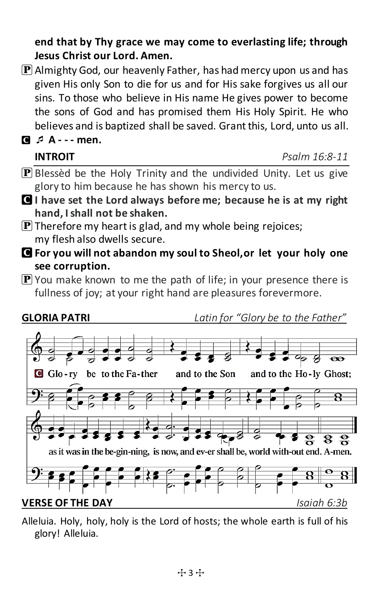#### **end that by Thy grace we may come to everlasting life; through Jesus Christ our Lord. Amen.**

 $[P]$  Almighty God, our heavenly Father, has had mercy upon us and has given His only Son to die for us and for His sake forgives us all our sins. To those who believe in His name He gives power to become the sons of God and has promised them His Holy Spirit. He who believes and is baptized shall be saved. Grant this, Lord, unto us all.

C **A - - - men.**

| <b>INTROIT</b> | Psalm 16:8-11 |
|----------------|---------------|
|                |               |

- $\mathbf{P}$  Blessèd be the Holy Trinity and the undivided Unity. Let us give glory to him because he has shown his mercy to us.
- C **I have set the Lord always before me; because he is at my right hand, I shall not be shaken.**
- $[P]$  Therefore my heart is glad, and my whole being rejoices; my flesh also dwells secure.
- C **For you will not abandon my soul to Sheol,or let your holy one see corruption.**
- $\bf{P}$  You make known to me the path of life; in your presence there is fullness of joy; at your right hand are pleasures forevermore.



Alleluia. Holy, holy, holy is the Lord of hosts; the whole earth is full of his glory! Alleluia.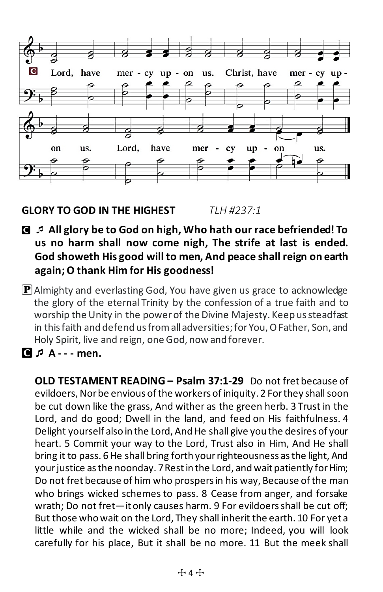

#### **GLORY TO GOD IN THE HIGHEST** *TLH #237:1*

- C **All glory be to God on high, Who hath our race befriended! To us no harm shall now come nigh, The strife at last is ended. God showeth His good will to men, And peace shall reign on earth again; O thank Him for His goodness!**
- $\mathbf P$  Almighty and everlasting God, You have given us grace to acknowledge the glory of the eternal Trinity by the confession of a true faith and to worship the Unity in the power of the Divine Majesty. Keep us steadfast in this faith and defend us from all adversities; for You, O Father, Son, and Holy Spirit, live and reign, one God, now and forever.
- **C**  $\uparrow$  **A** - men.

**OLD TESTAMENT READING – Psalm 37:1-29** Do not fret because of evildoers, Nor be envious of the workers of iniquity. 2 For they shall soon be cut down like the grass, And wither as the green herb. 3 Trust in the Lord, and do good; Dwell in the land, and feed on His faithfulness. 4 Delight yourself also in the Lord, And He shall give you the desires of your heart. 5 Commit your way to the Lord, Trust also in Him, And He shall bring it to pass. 6 He shall bring forth your righteousness as the light, And your justice as the noonday. 7 Rest in the Lord, and wait patiently for Him; Do not fret because of him who prospers in his way, Because of the man who brings wicked schemes to pass. 8 Cease from anger, and forsake wrath; Do not fret—it only causes harm. 9 For evildoers shall be cut off; But those who wait on the Lord, They shall inherit the earth. 10 For yet a little while and the wicked shall be no more; Indeed, you will look carefully for his place, But it shall be no more. 11 But the meek shall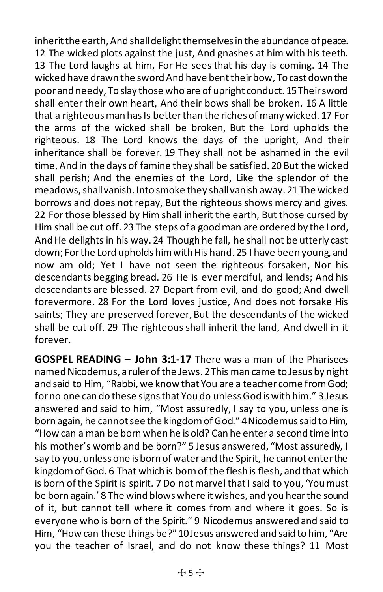inherit the earth, And shall delight themselves in the abundance of peace. 12 The wicked plots against the just, And gnashes at him with his teeth. 13 The Lord laughs at him, For He sees that his day is coming. 14 The wicked have drawn the sword And have bent their bow, To cast down the poor and needy, To slay those who are of upright conduct. 15 Their sword shall enter their own heart, And their bows shall be broken. 16 A little that a righteous man has Is better than the riches of many wicked. 17 For the arms of the wicked shall be broken, But the Lord upholds the righteous. 18 The Lord knows the days of the upright, And their inheritance shall be forever. 19 They shall not be ashamed in the evil time, And in the days of famine they shall be satisfied. 20 But the wicked shall perish; And the enemies of the Lord, Like the splendor of the meadows, shall vanish. Into smoke they shall vanish away. 21 The wicked borrows and does not repay, But the righteous shows mercy and gives. 22 For those blessed by Him shall inherit the earth, But those cursed by Him shall be cut off. 23 The steps of a good man are ordered by the Lord, And He delights in his way. 24 Though he fall, he shall not be utterly cast down; For the Lord upholds him with His hand. 25 I have been young, and now am old; Yet I have not seen the righteous forsaken, Nor his descendants begging bread. 26 He is ever merciful, and lends; And his descendants are blessed. 27 Depart from evil, and do good; And dwell forevermore. 28 For the Lord loves justice, And does not forsake His saints; They are preserved forever, But the descendants of the wicked shall be cut off. 29 The righteous shall inherit the land, And dwell in it forever.

**GOSPEL READING – John 3:1-17** There was a man of the Pharisees named Nicodemus, a ruler of the Jews. 2 This man came to Jesus by night and said to Him, "Rabbi, we know that You are a teacher come from God; for no one can do these signs that You do unless God is with him." 3 Jesus answered and said to him, "Most assuredly, I say to you, unless one is born again, he cannot see the kingdom of God."4 Nicodemus said to Him, "How can a man be born when he is old? Can he enter a second time into his mother's womb and be born?" 5 Jesus answered, "Most assuredly, I say to you, unless one is born of water and the Spirit, he cannot enter the kingdom of God. 6 That which is born of the flesh is flesh, and that which is born of the Spirit is spirit. 7 Do not marvel that I said to you, 'You must be born again.' 8 The wind blows where it wishes, and you hear the sound of it, but cannot tell where it comes from and where it goes. So is everyone who is born of the Spirit." 9 Nicodemus answered and said to Him, "How can these things be?"10 Jesus answered and said to him, "Are you the teacher of Israel, and do not know these things? 11 Most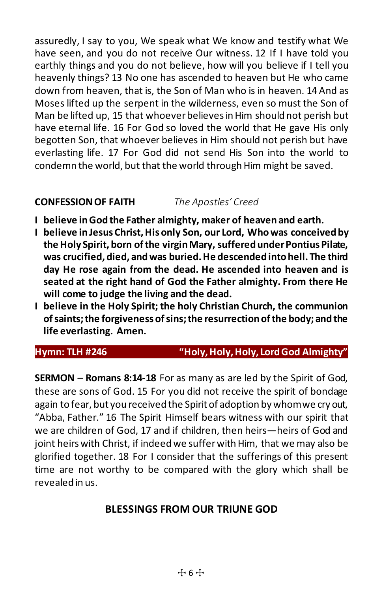assuredly, I say to you, We speak what We know and testify what We have seen, and you do not receive Our witness. 12 If I have told you earthly things and you do not believe, how will you believe if I tell you heavenly things? 13 No one has ascended to heaven but He who came down from heaven, that is, the Son of Man who is in heaven. 14 And as Moses lifted up the serpent in the wilderness, even so must the Son of Man be lifted up, 15 that whoever believes in Him should not perish but have eternal life. 16 For God so loved the world that He gave His only begotten Son, that whoever believes in Him should not perish but have everlasting life. 17 For God did not send His Son into the world to condemn the world, but that the world through Him might be saved.

#### **CONFESSION OF FAITH** *The Apostles' Creed*

- **I believe in God the Father almighty, maker of heaven and earth.**
- **I believe in Jesus Christ, His only Son, our Lord, Whowas conceived by the Holy Spirit, born of the virgin Mary, suffered under Pontius Pilate, was crucified, died, and was buried. He descended into hell. The third day He rose again from the dead. He ascended into heaven and is seated at the right hand of God the Father almighty. From there He will come to judge the living and the dead.**
- **I believe in the Holy Spirit; the holy Christian Church, the communion of saints; the forgiveness of sins; the resurrection of the body; and the life everlasting. Amen.**

#### **Hymn: TLH #246 "Holy, Holy, Holy, Lord God Almighty"**

**SERMON – Romans 8:14-18** For as many as are led by the Spirit of God, these are sons of God. 15 For you did not receive the spirit of bondage again to fear, but you received the Spirit of adoption by whom we cry out, "Abba, Father." 16 The Spirit Himself bears witness with our spirit that we are children of God, 17 and if children, then heirs—heirs of God and joint heirs with Christ, if indeed we suffer with Him, that we may also be glorified together. 18 For I consider that the sufferings of this present time are not worthy to be compared with the glory which shall be revealed in us.

#### **BLESSINGS FROM OUR TRIUNE GOD**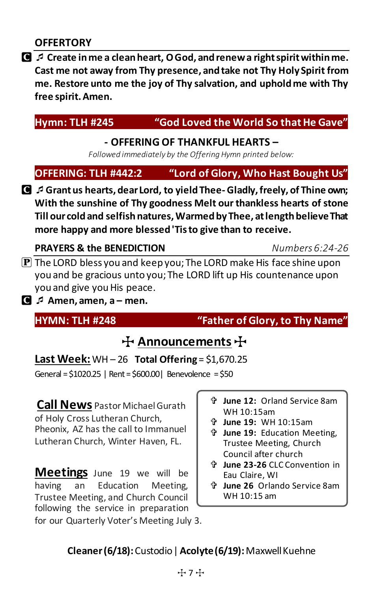C **Create in me a clean heart, O God, and renew a right spirit within me. Cast me not away from Thy presence, and take not Thy Holy Spirit from me. Restore unto me the joy of Thy salvation, and uphold me with Thy free spirit. Amen.**

#### **Hymn: TLH #245 "God Loved the World So that He Gave"**

#### **- OFFERING OF THANKFUL HEARTS –**

*Followed immediately by the Offering Hymn printed below:*

### **OFFERING: TLH #442:2 "Lord of Glory, Who Hast Bought Us"**

C **Grant us hearts, dear Lord, to yield Thee- Gladly, freely, of Thine own; With the sunshine of Thy goodness Melt our thankless hearts of stone Till our cold and selfish natures, Warmed by Thee, at length believe That more happy and more blessed 'Tis to give than to receive.**

#### **PRAYERS & the BENEDICTION** *Numbers 6:24-26*

- $\mathbf P$  The LORD bless you and keep you; The LORD make His face shine upon you and be gracious unto you; The LORD lift up His countenance upon you and give you His peace.
- C **Amen, amen, a men.**

#### **HYMN: TLH #248 "Father of Glory, to Thy Name"**

# **十 Announcements 十**

**Last Week:** WH – 26 **Total Offering** = \$1,670.25

General = \$1020.25 | Rent = \$600.00| Benevolence = \$50

**Call News** Pastor MichaelGurath of Holy Cross Lutheran Church, Pheonix, AZ has the call to Immanuel Lutheran Church, Winter Haven, FL.

**Meetings** June 19 we will be having an Education Meeting, Trustee Meeting, and Church Council following the service in preparation for our Quarterly Voter's Meeting July 3.

- **June 12:** Orland Service 8am WH 10:15am
- **June 19:** WH 10:15am
- **June 19:** Education Meeting, Trustee Meeting, Church Council after church
- **June 23-26** CLC Convention in Eau Claire, WI
- **June 26** Orlando Service 8am WH 10:15 am

#### **Cleaner (6/18):** Custodio| **Acolyte (6/19):**Maxwell Kuehne